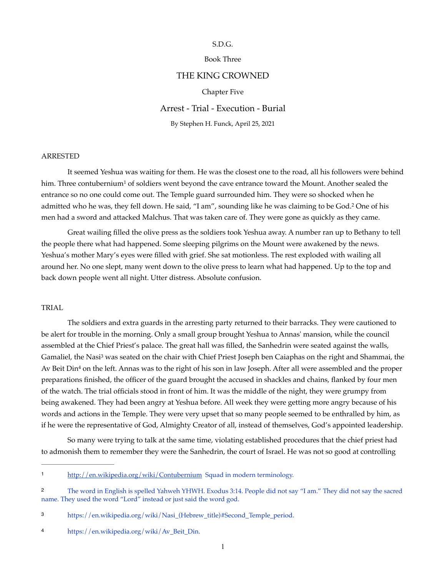## S.D.G.

# Book Three

# THE KING CROWNED

### <span id="page-0-5"></span>Chapter Five

# Arrest - Trial - Execution - Burial

<span id="page-0-4"></span>By Stephen H. Funck, April 25, 2021

### ARRESTED

It seemed Yeshua was waiting for them. He was the closest one to the road, all his followers were behind him. Three contubernium<sup>[1](#page-0-0)</sup> of soldiers went beyond the cave entrance toward the Mount. Another sealed the entrance so no one could come out. The Temple guard surrounded him. They were so shocked when he admitted who he was, they fell down. He said, "I am", sounding like he was claiming to be God.<sup>[2](#page-0-1)</sup> One of his men had a sword and attacked Malchus. That was taken care of. They were gone as quickly as they came.

Great wailing filled the olive press as the soldiers took Yeshua away. A number ran up to Bethany to tell the people there what had happened. Some sleeping pilgrims on the Mount were awakened by the news. Yeshua's mother Mary's eyes were filled with grief. She sat motionless. The rest exploded with wailing all around her. No one slept, many went down to the olive press to learn what had happened. Up to the top and back down people went all night. Utter distress. Absolute confusion.

#### TRIAL

<span id="page-0-7"></span><span id="page-0-6"></span>The soldiers and extra guards in the arresting party returned to their barracks. They were cautioned to be alert for trouble in the morning. Only a small group brought Yeshua to Annas' mansion, while the council assembled at the Chief Priest's palace. The great hall was filled, the Sanhedrin were seated against the walls, Gamaliel, the Nasi<sup>[3](#page-0-2)</sup> was seated on the chair with Chief Priest Joseph ben Caiaphas on the right and Shammai, the Av Beit Din<sup>[4](#page-0-3)</sup> on the left. Annas was to the right of his son in law Joseph. After all were assembled and the proper preparations finished, the officer of the guard brought the accused in shackles and chains, flanked by four men of the watch. The trial officials stood in front of him. It was the middle of the night, they were grumpy from being awakened. They had been angry at Yeshua before. All week they were getting more angry because of his words and actions in the Temple. They were very upset that so many people seemed to be enthralled by him, as if he were the representative of God, Almighty Creator of all, instead of themselves, God's appointed leadership.

So many were trying to talk at the same time, violating established procedures that the chief priest had to admonish them to remember they were the Sanhedrin, the court of Israel. He was not so good at controlling

<span id="page-0-0"></span>http://en.wikipedia.org/wiki/Contubernium Squad in modern terminology.

<span id="page-0-1"></span>The word in English is spelled Yahweh YHWH. Exodus 3:14. People did not say "I am." They did not say the sacred [2](#page-0-5) name. They used the word "Lord" instead or just said the word god.

<span id="page-0-2"></span>[https://en.wikipedia.org/wiki/Nasi\\_\(Hebrew\\_title\)#Second\\_Temple\\_period.](https://en.wikipedia.org/wiki/Nasi_(Hebrew_title)#Second_Temple_period) [3](#page-0-6)

<span id="page-0-3"></span>[https://en.wikipedia.org/wiki/Av\\_Beit\\_Din.](https://en.wikipedia.org/wiki/Av_Beit_Din) [4](#page-0-7)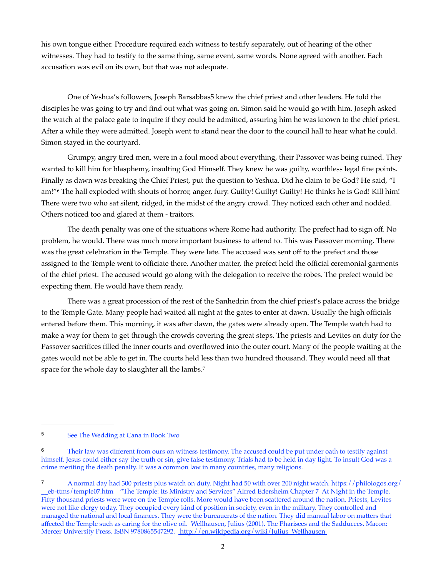his own tongue either. Procedure required each witness to testify separately, out of hearing of the other witnesses. They had to testify to the same thing, same event, same words. None agreed with another. Each accusation was evil on its own, but that was not adequate.

<span id="page-1-3"></span>One of Yeshua's followers, Joseph Barsabba[s5](#page-1-0) knew the chief priest and other leaders. He told the disciples he was going to try and find out what was going on. Simon said he would go with him. Joseph asked the watch at the palace gate to inquire if they could be admitted, assuring him he was known to the chief priest. After a while they were admitted. Joseph went to stand near the door to the council hall to hear what he could. Simon stayed in the courtyard.

<span id="page-1-4"></span>Grumpy, angry tired men, were in a foul mood about everything, their Passover was being ruined. They wanted to kill him for blasphemy, insulting God Himself. They knew he was guilty, worthless legal fine points. Finally as dawn was breaking the Chief Priest, put the question to Yeshua. Did he claim to be God? He said, "I am!"<sup>[6](#page-1-1)</sup> The hall exploded with shouts of horror, anger, fury. Guilty! Guilty! Guilty! He thinks he is God! Kill him! There were two who sat silent, ridged, in the midst of the angry crowd. They noticed each other and nodded. Others noticed too and glared at them - traitors.

The death penalty was one of the situations where Rome had authority. The prefect had to sign off. No problem, he would. There was much more important business to attend to. This was Passover morning. There was the great celebration in the Temple. They were late. The accused was sent off to the prefect and those assigned to the Temple went to officiate there. Another matter, the prefect held the official ceremonial garments of the chief priest. The accused would go along with the delegation to receive the robes. The prefect would be expecting them. He would have them ready.

<span id="page-1-5"></span>There was a great procession of the rest of the Sanhedrin from the chief priest's palace across the bridge to the Temple Gate. Many people had waited all night at the gates to enter at dawn. Usually the high officials entered before them. This morning, it was after dawn, the gates were already open. The Temple watch had to make a way for them to get through the crowds covering the great steps. The priests and Levites on duty for the Passover sacrifices filled the inner courts and overflowed into the outer court. Many of the people waiting at the gates would not be able to get in. The courts held less than two hundred thousand. They would need all that space for the whole day to slaughter all the lambs.<sup>7</sup>

<span id="page-1-0"></span>[<sup>5</sup>](#page-1-3) See The Wedding at Cana in Book Two

<span id="page-1-1"></span><sup>&</sup>lt;sup>[6](#page-1-4)</sup> Their law was different from ours on witness testimony. The accused could be put under oath to testify against himself. Jesus could either say the truth or sin, give false testimony. Trials had to be held in day light. To insult God was a crime meriting the death penalty. It was a common law in many countries, many religions.

<span id="page-1-2"></span>[<sup>7</sup>](#page-1-5) A normal day had 300 priests plus watch on duty. Night had 50 with over 200 night watch. [https://philologos.org/](https://philologos.org/__eb-ttms/temple07.htm) [\\_\\_eb-ttms/temple07.htm](https://philologos.org/__eb-ttms/temple07.htm) "The Temple: Its Ministry and Services" Alfred Edersheim Chapter 7 At Night in the Temple. Fifty thousand priests were were on the Temple rolls. More would have been scattered around the nation. Priests, Levites were not like clergy today. They occupied every kind of position in society, even in the military. They controlled and managed the national and local finances. They were the bureaucrats of the nation. They did manual labor on matters that affected the Temple such as caring for the olive oil. Wellhausen, Julius (2001). The Pharisees and the Sadducees. Macon: Mercer University Press. ISBN 9780865547292. http://en.wikipedia.org/wiki/Julius\_Wellhausen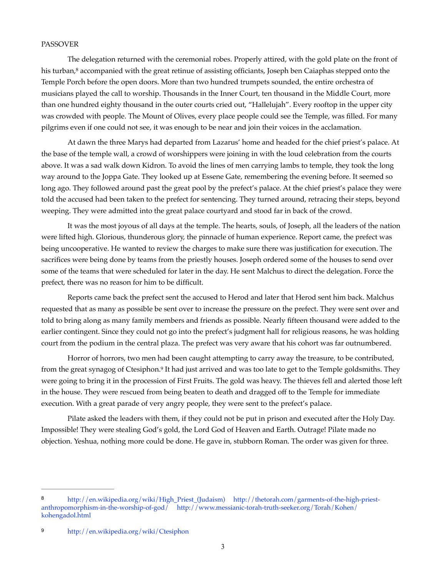#### PASSOVER

<span id="page-2-2"></span>The delegation returned with the ceremonial robes. Properly attired, with the gold plate on the front of his turban,<sup>8</sup> accompanied with the great retinue of assisting officiants[,](#page-2-0) Joseph ben Caiaphas stepped onto the Temple Porch before the open doors. More than two hundred trumpets sounded, the entire orchestra of musicians played the call to worship. Thousands in the Inner Court, ten thousand in the Middle Court, more than one hundred eighty thousand in the outer courts cried out, "Hallelujah". Every rooftop in the upper city was crowded with people. The Mount of Olives, every place people could see the Temple, was filled. For many pilgrims even if one could not see, it was enough to be near and join their voices in the acclamation.

At dawn the three Marys had departed from Lazarus' home and headed for the chief priest's palace. At the base of the temple wall, a crowd of worshippers were joining in with the loud celebration from the courts above. It was a sad walk down Kidron. To avoid the lines of men carrying lambs to temple, they took the long way around to the Joppa Gate. They looked up at Essene Gate, remembering the evening before. It seemed so long ago. They followed around past the great pool by the prefect's palace. At the chief priest's palace they were told the accused had been taken to the prefect for sentencing. They turned around, retracing their steps, beyond weeping. They were admitted into the great palace courtyard and stood far in back of the crowd.

It was the most joyous of all days at the temple. The hearts, souls, of Joseph, all the leaders of the nation were lifted high. Glorious, thunderous glory, the pinnacle of human experience. Report came, the prefect was being uncooperative. He wanted to review the charges to make sure there was justification for execution. The sacrifices were being done by teams from the priestly houses. Joseph ordered some of the houses to send over some of the teams that were scheduled for later in the day. He sent Malchus to direct the delegation. Force the prefect, there was no reason for him to be difficult.

Reports came back the prefect sent the accused to Herod and later that Herod sent him back. Malchus requested that as many as possible be sent over to increase the pressure on the prefect. They were sent over and told to bring along as many family members and friends as possible. Nearly fifteen thousand were added to the earlier contingent. Since they could not go into the prefect's judgment hall for religious reasons, he was holding court from the podium in the central plaza. The prefect was very aware that his cohort was far outnumbered.

<span id="page-2-3"></span>Horror of horrors, two men had been caught attempting to carry away the treasure, to be contributed, from the great synagog of Ctesiphon.<sup>[9](#page-2-1)</sup> It had just arrived and was too late to get to the Temple goldsmiths. They were going to bring it in the procession of First Fruits. The gold was heavy. The thieves fell and alerted those left in the house. They were rescued from being beaten to death and dragged off to the Temple for immediate execution. With a great parade of very angry people, they were sent to the prefect's palace.

Pilate asked the leaders with them, if they could not be put in prison and executed after the Holy Day. Impossible! They were stealing God's gold, the Lord God of Heaven and Earth. Outrage! Pilate made no objection. Yeshua, nothing more could be done. He gave in, stubborn Roman. The order was given for three.

<span id="page-2-0"></span>[http://en.wikipedia.org/wiki/High\\_Priest\\_\(Judaism\)](http://en.wikipedia.org/wiki/High_Priest_(Judaism)) [http://thetorah.com/garments-of-the-high-priest-](http://thetorah.com/garments-of-the-high-priest-anthropomorphism-in-the-worship-of-god/) [8](#page-2-2) [anthropomorphism-in-the-worship-of-god/](http://thetorah.com/garments-of-the-high-priest-anthropomorphism-in-the-worship-of-god/) [http://www.messianic-torah-truth-seeker.org/Torah/Kohen/](http://www.messianic-torah-truth-seeker.org/Torah/Kohen/kohengadol.html) [kohengadol.html](http://www.messianic-torah-truth-seeker.org/Torah/Kohen/kohengadol.html) 

<span id="page-2-1"></span>http://en.wikipedia.org/wiki/Ctesiphon [9](#page-2-3)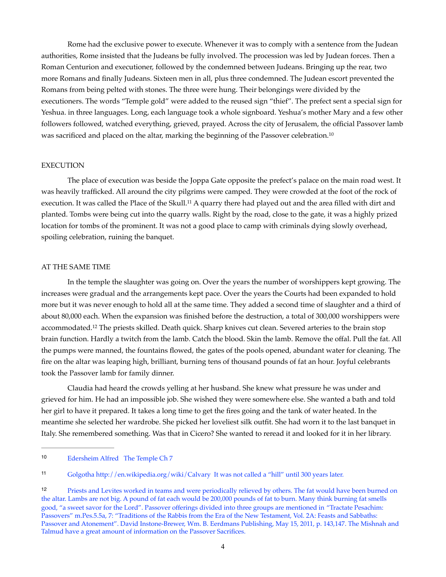Rome had the exclusive power to execute. Whenever it was to comply with a sentence from the Judean authorities, Rome insisted that the Judeans be fully involved. The procession was led by Judean forces. Then a Roman Centurion and executioner, followed by the condemned between Judeans. Bringing up the rear, two more Romans and finally Judeans. Sixteen men in all, plus three condemned. The Judean escort prevented the Romans from being pelted with stones. The three were hung. Their belongings were divided by the executioners. The words "Temple gold" were added to the reused sign "thief". The prefect sent a special sign for Yeshua. in three languages. Long, each language took a whole signboard. Yeshua's mother Mary and a few other followers followed, watched everything, grieved, prayed. Across the city of Jerusalem, the official Passover lamb was sacrificed and placed on the altar, marking the beginning of the Passover celebration.[10](#page-3-0)

#### <span id="page-3-3"></span>EXECUTION

<span id="page-3-4"></span>The place of execution was beside the Joppa Gate opposite the prefect's palace on the main road west. It was heavily trafficked. All around the city pilgrims were camped. They were crowded at the foot of the rock of execution[.](#page-3-1) It was called the Place of the Skull.<sup>[11](#page-3-1)</sup> A quarry there had played out and the area filled with dirt and planted. Tombs were being cut into the quarry walls. Right by the road, close to the gate, it was a highly prized location for tombs of the prominent. It was not a good place to camp with criminals dying slowly overhead, spoiling celebration, ruining the banquet.

#### AT THE SAME TIME

<span id="page-3-5"></span>In the temple the slaughter was going on. Over the years the number of worshippers kept growing. The increases were gradual and the arrangements kept pace. Over the years the Courts had been expanded to hold more but it was never enough to hold all at the same time. They added a second time of slaughter and a third of about 80,000 each. When the expansion was finished before the destruction, a total of 300,000 worshippers were accommodated.<sup>12</sup>The priests skilled. Death quick. Sharp knives cut clean. Severed arteries to the brain stop brain function. Hardly a twitch from the lamb. Catch the blood. Skin the lamb. Remove the offal. Pull the fat. All the pumps were manned, the fountains flowed, the gates of the pools opened, abundant water for cleaning. The fire on the altar was leaping high, brilliant, burning tens of thousand pounds of fat an hour. Joyful celebrants took the Passover lamb for family dinner.

Claudia had heard the crowds yelling at her husband. She knew what pressure he was under and grieved for him. He had an impossible job. She wished they were somewhere else. She wanted a bath and told her girl to have it prepared. It takes a long time to get the fires going and the tank of water heated. In the meantime she selected her wardrobe. She picked her loveliest silk outfit. She had worn it to the last banquet in Italy. She remembered something. Was that in Cicero? She wanted to reread it and looked for it in her library.

<span id="page-3-0"></span>[<sup>10</sup>](#page-3-3) Edersheim Alfred The Temple Ch 7

<span id="page-3-1"></span><sup>11</sup> Golgotha <http://en.wikipedia.org/wiki/Calvary> It was not called a "hill" until 300 years later.

<span id="page-3-2"></span>Priests and Levites worked in teams and were periodically relieved by others. The fat would have been burned on [12](#page-3-5) the altar. Lambs are not big. A pound of fat each would be 200,000 pounds of fat to burn. Many think burning fat smells good, "a sweet savor for the Lord". Passover offerings divided into three groups are mentioned in "Tractate Pesachim: Passovers" m.Pes.5.5a, 7: "Traditions of the Rabbis from the Era of the New Testament, Vol. 2A: Feasts and Sabbaths: Passover and Atonement". David Instone-Brewer, Wm. B. Eerdmans Publishing, May 15, 2011, p. 143,147. The Mishnah and Talmud have a great amount of information on the Passover Sacrifices.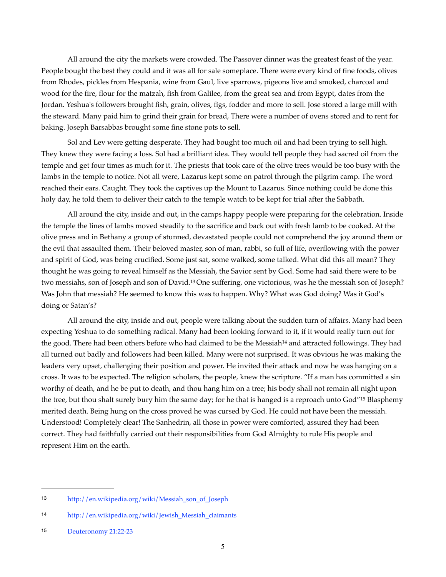All around the city the markets were crowded. The Passover dinner was the greatest feast of the year. People bought the best they could and it was all for sale someplace. There were every kind of fine foods, olives from Rhodes, pickles from Hespania, wine from Gaul, live sparrows, pigeons live and smoked, charcoal and wood for the fire, flour for the matzah, fish from Galilee, from the great sea and from Egypt, dates from the Jordan. Yeshua's followers brought fish, grain, olives, figs, fodder and more to sell. Jose stored a large mill with the steward. Many paid him to grind their grain for bread, There were a number of ovens stored and to rent for baking. Joseph Barsabbas brought some fine stone pots to sell.

Sol and Lev were getting desperate. They had bought too much oil and had been trying to sell high. They knew they were facing a loss. Sol had a brilliant idea. They would tell people they had sacred oil from the temple and get four times as much for it. The priests that took care of the olive trees would be too busy with the lambs in the temple to notice. Not all were, Lazarus kept some on patrol through the pilgrim camp. The word reached their ears. Caught. They took the captives up the Mount to Lazarus. Since nothing could be done this holy day, he told them to deliver their catch to the temple watch to be kept for trial after the Sabbath.

All around the city, inside and out, in the camps happy people were preparing for the celebration. Inside the temple the lines of lambs moved steadily to the sacrifice and back out with fresh lamb to be cooked. At the olive press and in Bethany a group of stunned, devastated people could not comprehend the joy around them or the evil that assaulted them. Their beloved master, son of man, rabbi, so full of life, overflowing with the power and spirit of God, was being crucified. Some just sat, some walked, some talked. What did this all mean? They thought he was going to reveal himself as the Messiah, the Savior sent by God. Some had said there were to be two messiahs, son of Joseph and son of David.<sup>[13](#page-4-0)</sup> One suffering, one victorious, was he the messiah son of Joseph? Was John that messiah? He seemed to know this was to happen. Why? What was God doing? Was it God's doing or Satan's?

<span id="page-4-5"></span><span id="page-4-4"></span><span id="page-4-3"></span>All around the city, inside and out, people were talking about the sudden turn of affairs. Many had been expecting Yeshua to do something radical. Many had been looking forward to it, if it would really turn out for t[h](#page-4-1)e good. There had been others before who had claimed to be the Messiah<sup>[14](#page-4-1)</sup> and attracted followings. They had all turned out badly and followers had been killed. Many were not surprised. It was obvious he was making the leaders very upset, challenging their position and power. He invited their attack and now he was hanging on a cross. It was to be expected. The religion scholars, the people, knew the scripture. "If a man has committed a sin worthy of death, and he be put to death, and thou hang him on a tree; his body shall not remain all night upon the tree, but thou shalt surely bury him the same day; for he that is hanged is a reproach unto God"<sup>[15](#page-4-2)</sup> Blasphemy merited death. Being hung on the cross proved he was cursed by God. He could not have been the messiah. Understood! Completely clear! The Sanhedrin, all those in power were comforted, assured they had been correct. They had faithfully carried out their responsibilities from God Almighty to rule His people and represent Him on the earth.

<span id="page-4-0"></span>[<sup>13</sup>](#page-4-3) [http://en.wikipedia.org/wiki/Messiah\\_son\\_of\\_Joseph](http://en.wikipedia.org/wiki/Messiah_son_of_Joseph)

<span id="page-4-1"></span>[http://en.wikipedia.org/wiki/Jewish\\_Messiah\\_claimants](http://en.wikipedia.org/wiki/Jewish_Messiah_claimants) [14](#page-4-4)

<span id="page-4-2"></span>[<sup>15</sup>](#page-4-5) Deuteronomy 21:22-23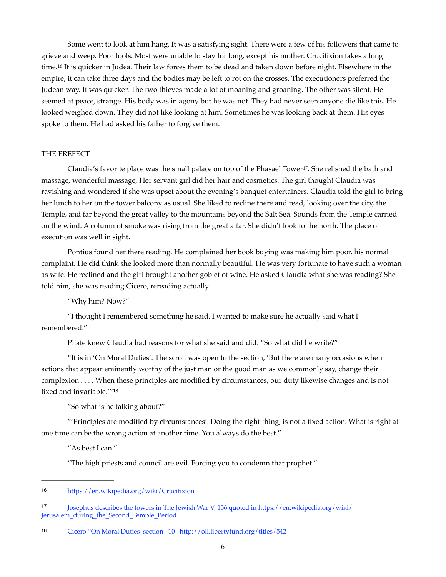<span id="page-5-3"></span>Some went to look at him hang. It was a satisfying sight. There were a few of his followers that came to grieve and weep. Poor fools. Most were unable to stay for long, except his mother. Crucifixion takes a long time.<sup>16</sup>It is quicker in Judea. Their law forces them to be dead and taken down before night. Elsewhere in the empire, it can take three days and the bodies may be left to rot on the crosses. The executioners preferred the Judean way. It was quicker. The two thieves made a lot of moaning and groaning. The other was silent. He seemed at peace, strange. His body was in agony but he was not. They had never seen anyone die like this. He looked weighed down. They did not like looking at him. Sometimes he was looking back at them. His eyes spoke to them. He had asked his father to forgive them.

#### THE PREFECT

<span id="page-5-4"></span>Claudia's favorite place was the small palace on top of the Phasael Tower<sup>17</sup>[.](#page-5-1) She relished the bath and massage, wonderful massage, Her servant girl did her hair and cosmetics. The girl thought Claudia was ravishing and wondered if she was upset about the evening's banquet entertainers. Claudia told the girl to bring her lunch to her on the tower balcony as usual. She liked to recline there and read, looking over the city, the Temple, and far beyond the great valley to the mountains beyond the Salt Sea. Sounds from the Temple carried on the wind. A column of smoke was rising from the great altar. She didn't look to the north. The place of execution was well in sight.

Pontius found her there reading. He complained her book buying was making him poor, his normal complaint. He did think she looked more than normally beautiful. He was very fortunate to have such a woman as wife. He reclined and the girl brought another goblet of wine. He asked Claudia what she was reading? She told him, she was reading Cicero, rereading actually.

"Why him? Now?"

"I thought I remembered something he said. I wanted to make sure he actually said what I remembered."

Pilate knew Claudia had reasons for what she said and did. "So what did he write?"

"It is in 'On Moral Duties'. The scroll was open to the section, 'But there are many occasions when actions that appear eminently worthy of the just man or the good man as we commonly say, change their complexion . . . . When these principles are modified by circumstances, our duty likewise changes and is not fixed and invariable.'"[18](#page-5-2)

<span id="page-5-5"></span>"So what is he talking about?"

"'Principles are modified by circumstances'. Doing the right thing, is not a fixed action. What is right at one time can be the wrong action at another time. You always do the best."

"As best I can."

"The high priests and council are evil. Forcing you to condemn that prophet."

<span id="page-5-2"></span>18 Cicero "On Moral Duties section 10 <http://oll.libertyfund.org/titles/542>

<span id="page-5-0"></span>https://en.wikipedia.org/wiki/Crucifixion [16](#page-5-3)

<span id="page-5-1"></span>[<sup>17</sup>](#page-5-4) Josephus describes the towers in The Jewish War V, 156 quoted in [https://en.wikipedia.org/wiki/](https://en.wikipedia.org/wiki/Jerusalem_during_the_Second_Temple_Period) [Jerusalem\\_during\\_the\\_Second\\_Temple\\_Period](https://en.wikipedia.org/wiki/Jerusalem_during_the_Second_Temple_Period)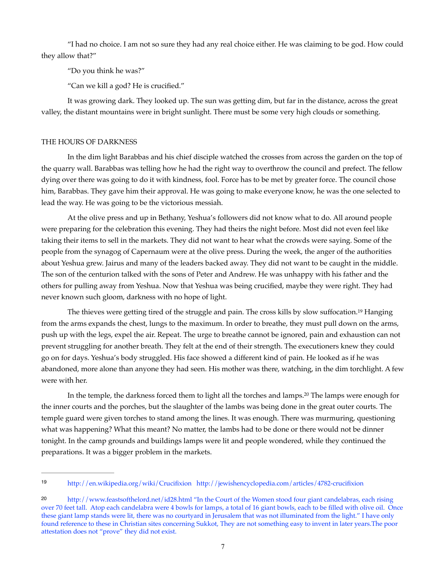"I had no choice. I am not so sure they had any real choice either. He was claiming to be god. How could they allow that?"

"Do you think he was?"

"Can we kill a god? He is crucified."

It was growing dark. They looked up. The sun was getting dim, but far in the distance, across the great valley, the distant mountains were in bright sunlight. There must be some very high clouds or something.

# THE HOURS OF DARKNESS

In the dim light Barabbas and his chief disciple watched the crosses from across the garden on the top of the quarry wall. Barabbas was telling how he had the right way to overthrow the council and prefect. The fellow dying over there was going to do it with kindness, fool. Force has to be met by greater force. The council chose him, Barabbas. They gave him their approval. He was going to make everyone know, he was the one selected to lead the way. He was going to be the victorious messiah.

At the olive press and up in Bethany, Yeshua's followers did not know what to do. All around people were preparing for the celebration this evening. They had theirs the night before. Most did not even feel like taking their items to sell in the markets. They did not want to hear what the crowds were saying. Some of the people from the synagog of Capernaum were at the olive press. During the week, the anger of the authorities about Yeshua grew. Jairus and many of the leaders backed away. They did not want to be caught in the middle. The son of the centurion talked with the sons of Peter and Andrew. He was unhappy with his father and the others for pulling away from Yeshua. Now that Yeshua was being crucified, maybe they were right. They had never known such gloom, darkness with no hope of light.

<span id="page-6-2"></span>The thieves were getting tired of the struggle and pain[.](#page-6-0) The cross kills by slow suffocation.<sup>[19](#page-6-0)</sup> Hanging from the arms expands the chest, lungs to the maximum. In order to breathe, they must pull down on the arms, push up with the legs, expel the air. Repeat. The urge to breathe cannot be ignored, pain and exhaustion can not prevent struggling for another breath. They felt at the end of their strength. The executioners knew they could go on for days. Yeshua's body struggled. His face showed a different kind of pain. He looked as if he was abandoned, more alone than anyone they had seen. His mother was there, watching, in the dim torchlight. A few were with her.

<span id="page-6-3"></span>In the temple, the darkness forced them to light all the torches and lamps.<sup>[20](#page-6-1)</sup> The lamps were enough for the inner courts and the porches, but the slaughter of the lambs was being done in the great outer courts. The temple guard were given torches to stand among the lines. It was enough. There was murmuring, questioning what was happening? What this meant? No matter, the lambs had to be done or there would not be dinner tonight. In the camp grounds and buildings lamps were lit and people wondered, while they continued the preparations. It was a bigger problem in the markets.

<span id="page-6-0"></span><http://en.wikipedia.org/wiki/Crucifixion> <http://jewishencyclopedia.com/articles/4782-crucifixion> [19](#page-6-2)

<span id="page-6-1"></span><sup>20</sup> <http://www.feastsofthelord.net/id28.html>"In the Court of the Women stood four giant candelabras, each rising over 70 feet tall. Atop each candelabra were 4 bowls for lamps, a total of 16 giant bowls, each to be filled with olive oil. Once these giant lamp stands were lit, there was no courtyard in Jerusalem that was not illuminated from the light." I have only found reference to these in Christian sites concerning Sukkot, They are not something easy to invent in later years.The poor attestation does not "prove" they did not exist.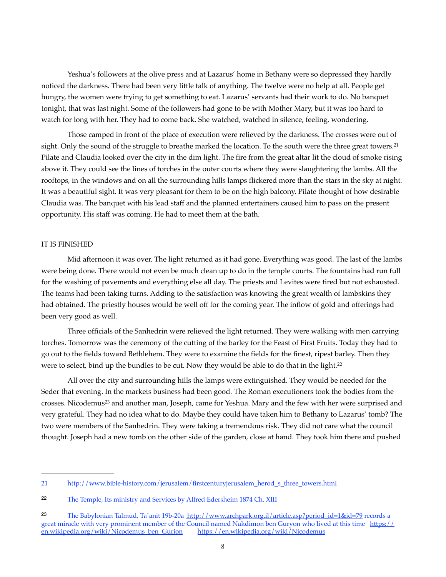Yeshua's followers at the olive press and at Lazarus' home in Bethany were so depressed they hardly noticed the darkness. There had been very little talk of anything. The twelve were no help at all. People get hungry, the women were trying to get something to eat. Lazarus' servants had their work to do. No banquet tonight, that was last night. Some of the followers had gone to be with Mother Mary, but it was too hard to watch for long with her. They had to come back. She watched, watched in silence, feeling, wondering.

<span id="page-7-3"></span>Those camped in front of the place of execution were relieved by the darkness. The crosses were out of sight. Only the sound of the struggle to breathe marked the location. To the south were the three great towers.<sup>[21](#page-7-0)</sup> Pilate and Claudia looked over the city in the dim light. The fire from the great altar lit the cloud of smoke rising above it. They could see the lines of torches in the outer courts where they were slaughtering the lambs. All the rooftops, in the windows and on all the surrounding hills lamps flickered more than the stars in the sky at night. It was a beautiful sight. It was very pleasant for them to be on the high balcony. Pilate thought of how desirable Claudia was. The banquet with his lead staff and the planned entertainers caused him to pass on the present opportunity. His staff was coming. He had to meet them at the bath.

### IT IS FINISHED

Mid afternoon it was over. The light returned as it had gone. Everything was good. The last of the lambs were being done. There would not even be much clean up to do in the temple courts. The fountains had run full for the washing of pavements and everything else all day. The priests and Levites were tired but not exhausted. The teams had been taking turns. Adding to the satisfaction was knowing the great wealth of lambskins they had obtained. The priestly houses would be well off for the coming year. The inflow of gold and offerings had been very good as well.

Three officials of the Sanhedrin were relieved the light returned. They were walking with men carrying torches. Tomorrow was the ceremony of the cutting of the barley for the Feast of First Fruits. Today they had to go out to the fields toward Bethlehem. They were to examine the fields for the finest, ripest barley. Then they were to select, bind up the bundles to be cut. Now they would be able to do that in the light.<sup>22</sup>

<span id="page-7-5"></span><span id="page-7-4"></span>All over the city and surrounding hills the lamps were extinguished. They would be needed for the Seder that evening. In the markets business had been good. The Roman executioners took the bodies from the crosses.Nicodemus<sup>[23](#page-7-2)</sup> and another man, Joseph, came for Yeshua. Mary and the few with her were surprised and very grateful. They had no idea what to do. Maybe they could have taken him to Bethany to Lazarus' tomb? The two were members of the Sanhedrin. They were taking a tremendous risk. They did not care what the council thought. Joseph had a new tomb on the other side of the garden, close at hand. They took him there and pushed

<span id="page-7-0"></span>[<sup>21</sup>](#page-7-3) [http://www.bible-history.com/jerusalem/firstcenturyjerusalem\\_herod\\_s\\_three\\_towers.html](http://www.bible-history.com/jerusalem/firstcenturyjerusalem_herod_s_three_towers.html) 

<span id="page-7-1"></span>[<sup>22</sup>](#page-7-4) The Temple, Its ministry and Services by Alfred Edersheim 1874 Ch. XIII

<span id="page-7-2"></span>[<sup>23</sup>](#page-7-5) The Babylonian Talmud, Ta`anit 19b-20a http://www.archpark.org.il/article.asp?period\_id=1&id=79 records a great miracle with very prominent member of the Council named Nakdimon ben Guryon who lived at this time https:// en.wikipedia.org/wiki/Nicodemus\_ben\_Gurion <https://en.wikipedia.org/wiki/Nicodemus>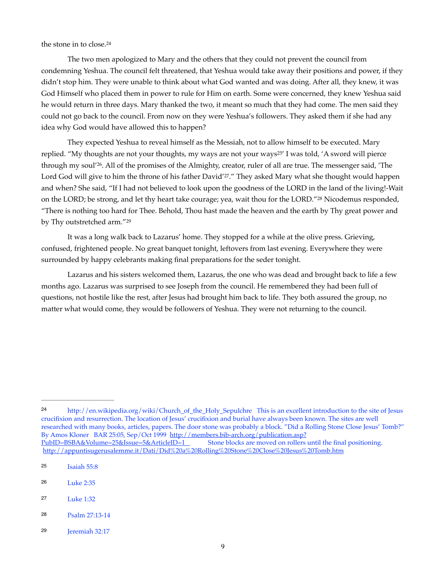<span id="page-8-6"></span>the stone in to close.[24](#page-8-0)

The two men apologized to Mary and the others that they could not prevent the council from condemning Yeshua. The council felt threatened, that Yeshua would take away their positions and power, if they didn't stop him. They were unable to think about what God wanted and was doing. After all, they knew, it was God Himself who placed them in power to rule for Him on earth. Some were concerned, they knew Yeshua said he would return in three days. Mary thanked the two, it meant so much that they had come. The men said they could not go back to the council. From now on they were Yeshua's followers. They asked them if she had any idea why God would have allowed this to happen?

<span id="page-8-9"></span><span id="page-8-8"></span><span id="page-8-7"></span>They expected Yeshua to reveal himself as the Messiah, not to allow himself to be executed. Mary replied. "My thoughts are not your thoughts, my ways are not your ways<sup>[25](#page-8-1)'</sup> I was told, 'A sword will pierce through my soul'<sup>26</sup>[.](#page-8-2) All of the promises of the Almighty, creator, ruler of all are true. The messenger said, 'The Lord God will give to him the throne of his father David'<sup>27</sup>[.](#page-8-3)" They asked Mary what she thought would happen and when? She said, "If I had not believed to look upon the goodness of the LORD in the land of the living!-Wait on the LORD; be strong, and let thy heart take courage; yea, wait thou for the LORD." [28](#page-8-4) Nicodemus responded, "There is nothing too hard for Thee. Behold, Thou hast made the heaven and the earth by Thy great power and by Thy outstretched arm.["29](#page-8-5)

<span id="page-8-11"></span><span id="page-8-10"></span>It was a long walk back to Lazarus' home. They stopped for a while at the olive press. Grieving, confused, frightened people. No great banquet tonight, leftovers from last evening. Everywhere they were surrounded by happy celebrants making final preparations for the seder tonight.

Lazarus and his sisters welcomed them, Lazarus, the one who was dead and brought back to life a few months ago. Lazarus was surprised to see Joseph from the council. He remembered they had been full of questions, not hostile like the rest, after Jesus had brought him back to life. They both assured the group, no matter what would come, they would be followers of Yeshua. They were not returning to the council.

- <span id="page-8-2"></span>Luke 2:35 [26](#page-8-8)
- <span id="page-8-3"></span>Luke 1:32 [27](#page-8-9)
- <span id="page-8-4"></span>Psalm 27:13-14 [28](#page-8-10)
- <span id="page-8-5"></span>Jeremiah 32:17 [29](#page-8-11)

<span id="page-8-0"></span>[http://en.wikipedia.org/wiki/Church\\_of\\_the\\_Holy\\_Sepulchre](http://en.wikipedia.org/wiki/Church_of_the_Holy_Sepulchre) This is an excellent introduction to the site of Jesus [24](#page-8-6) crucifixion and resurrection. The location of Jesus' crucifixion and burial have always been known. The sites are well researched with many books, articles, papers. The door stone was probably a block. "Did a Rolling Stone Close Jesus' Tomb?" By Amos Kloner BAR 25:05, Sep/Oct 1999 <http://members.bib-arch.org/publication.asp?> PubID=BSBA&Volume=25&Issue=5&ArticleID=1 Stone blocks are moved on rollers until the final positioning. http://appuntisugerusalemme.it/Dati/Did%20a%20Rolling%20Stone%20Close%20Jesus%20Tomb.htm

<span id="page-8-1"></span>Isaiah 55:8 [25](#page-8-7)